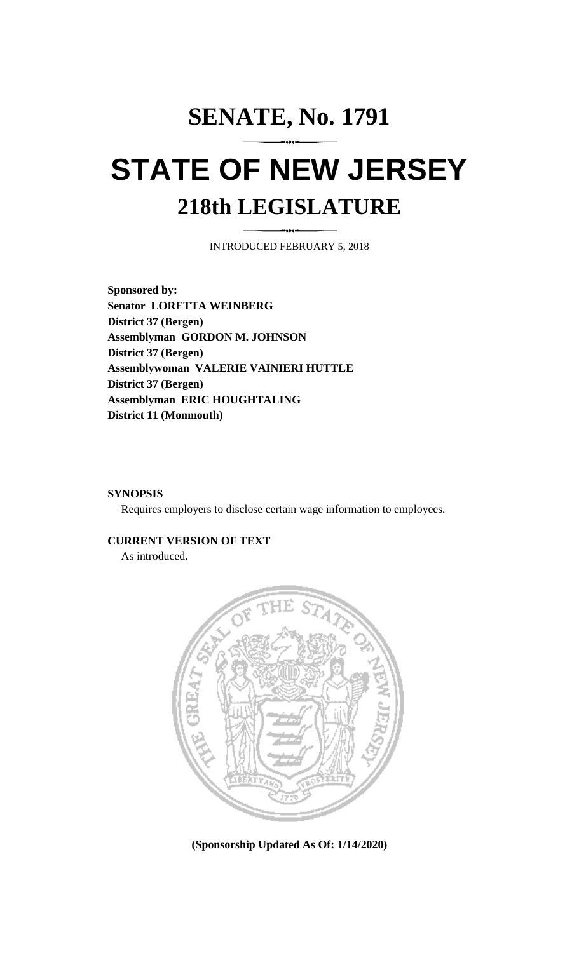## **SENATE, No. 1791 STATE OF NEW JERSEY 218th LEGISLATURE**

INTRODUCED FEBRUARY 5, 2018

**Sponsored by: Senator LORETTA WEINBERG District 37 (Bergen) Assemblyman GORDON M. JOHNSON District 37 (Bergen) Assemblywoman VALERIE VAINIERI HUTTLE District 37 (Bergen) Assemblyman ERIC HOUGHTALING District 11 (Monmouth)**

## **SYNOPSIS**

Requires employers to disclose certain wage information to employees.

## **CURRENT VERSION OF TEXT**

As introduced.



**(Sponsorship Updated As Of: 1/14/2020)**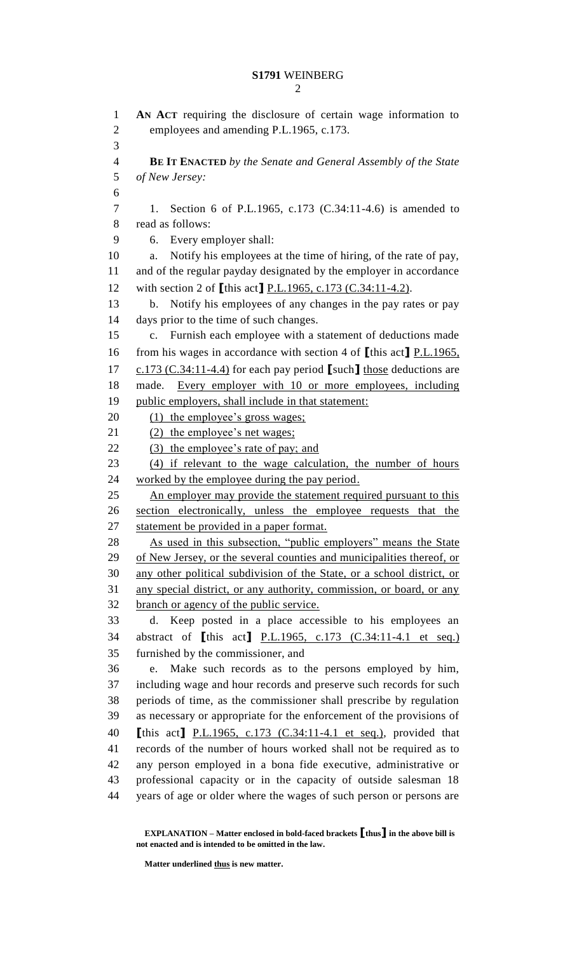**AN ACT** requiring the disclosure of certain wage information to employees and amending P.L.1965, c.173. **BE IT ENACTED** *by the Senate and General Assembly of the State of New Jersey:* 1. Section 6 of P.L.1965, c.173 (C.34:11-4.6) is amended to read as follows: 6. Every employer shall: a. Notify his employees at the time of hiring, of the rate of pay, and of the regular payday designated by the employer in accordance with section 2 of **[**this act**]** P.L.1965, c.173 (C.34:11-4.2). b. Notify his employees of any changes in the pay rates or pay days prior to the time of such changes. c. Furnish each employee with a statement of deductions made from his wages in accordance with section 4 of **[**this act**]** P.L.1965, c.173 (C.34:11-4.4) for each pay period **[**such**]** those deductions are 18 made. Every employer with 10 or more employees, including public employers, shall include in that statement: 20 (1) the employee's gross wages; 21 (2) the employee's net wages; 22 (3) the employee's rate of pay; and (4) if relevant to the wage calculation, the number of hours worked by the employee during the pay period. 25 An employer may provide the statement required pursuant to this section electronically, unless the employee requests that the statement be provided in a paper format. As used in this subsection, "public employers" means the State 29 of New Jersey, or the several counties and municipalities thereof, or any other political subdivision of the State, or a school district, or any special district, or any authority, commission, or board, or any branch or agency of the public service. d. Keep posted in a place accessible to his employees an abstract of **[**this act**]** P.L.1965, c.173 (C.34:11-4.1 et seq.) furnished by the commissioner, and e. Make such records as to the persons employed by him, including wage and hour records and preserve such records for such periods of time, as the commissioner shall prescribe by regulation as necessary or appropriate for the enforcement of the provisions of **[**this act**]** P.L.1965, c.173 (C.34:11-4.1 et seq.), provided that records of the number of hours worked shall not be required as to any person employed in a bona fide executive, administrative or professional capacity or in the capacity of outside salesman 18 years of age or older where the wages of such person or persons are

**EXPLANATION – Matter enclosed in bold-faced brackets [thus] in the above bill is not enacted and is intended to be omitted in the law.**

**Matter underlined thus is new matter.**